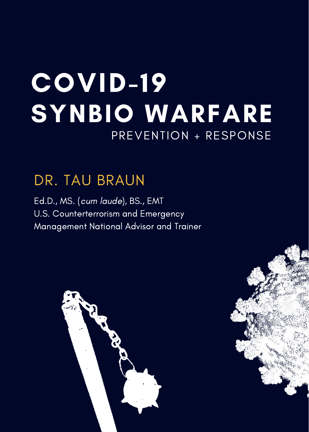## COVID-19 SYNBIO WARFARE PREVENTION + RESPONSE

## DR. TAU BRAUN

Ed.D., MS. (cum laude), BS., EMT U.S. Counterterrorism and Emergency Management National Advisor and Trainer